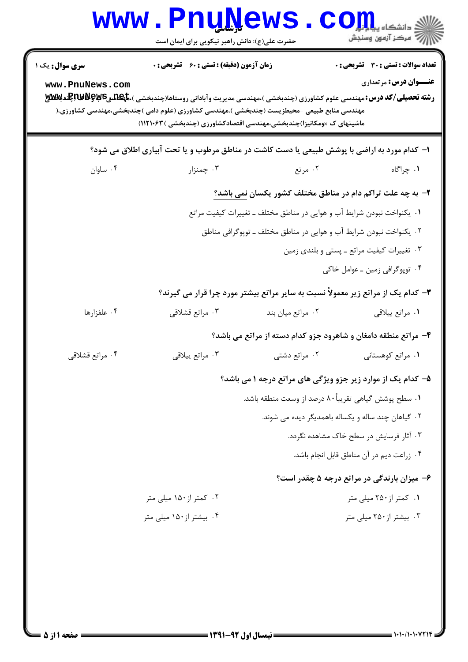|                                           | <b>www.PnuNews</b><br>حضرت علی(ع): دانش راهبر نیکویی برای ایمان است                                                                                                                                                                                                                                                                                               |                                                    | COJJL<br>رآ - مرڪز آزمون وسنڊش                                                |  |
|-------------------------------------------|-------------------------------------------------------------------------------------------------------------------------------------------------------------------------------------------------------------------------------------------------------------------------------------------------------------------------------------------------------------------|----------------------------------------------------|-------------------------------------------------------------------------------|--|
| <b>سری سوال :</b> یک ۱<br>www.PnuNews.com | زمان آزمون (دقیقه) : تستی : 60 ٪ تشریحی : 0<br><b>رشته تحصیلی/کد درس: م</b> هندسی علوم کشاورزی (چندبخشی )،مهندسی مدیریت وآبادانی روستاها(چندبخشی )، <b>تاپکلدیAپوکلالالپاپکندبلاللایلا</b><br>مهندسی منابع طبیعی –محیطزیست (چندبخشی )،مهندسی کشاورزی (علوم دامی )چندبخشی،مهندسی کشاورزی،(<br>ماشینهای ک ×ومکانیزا)چندبخشی،مهندسی اقتصادکشاورزی (چندبخشی )۱۱۲۱۰۶۳) |                                                    | <b>تعداد سوالات : تستی : 30 ٪ تشریحی : 0</b><br><b>عنـــوان درس:</b> مرتعداری |  |
|                                           | ا- کدام مورد به اراضی با پوشش طبیعی یا دست کاشت در مناطق مرطوب و یا تحت آبیاری اطلاق می شود؟                                                                                                                                                                                                                                                                      |                                                    |                                                                               |  |
| ۰۴ ساوان                                  | ۰۳ چمنزار                                                                                                                                                                                                                                                                                                                                                         | ۰۲ مرتع                                            | ۰۱ چراگاه                                                                     |  |
|                                           | ۲- به چه علت تراکم دام در مناطق مختلف کشور یکسان <u>نمی باشد؟</u>                                                                                                                                                                                                                                                                                                 |                                                    |                                                                               |  |
|                                           | ۰۱ یکنواخت نبودن شرایط آب و هوایی در مناطق مختلف ـ تغییرات کیفیت مراتع                                                                                                                                                                                                                                                                                            |                                                    |                                                                               |  |
|                                           | ۰۲ يکنواخت نبودن شرايط آب و هوايي در مناطق مختلف ــ توپوگرافي مناطق                                                                                                                                                                                                                                                                                               |                                                    |                                                                               |  |
|                                           |                                                                                                                                                                                                                                                                                                                                                                   |                                                    | ۰۳ تغییرات کیفیت مراتع ـ پستی و بلندی زمین                                    |  |
|                                           |                                                                                                                                                                                                                                                                                                                                                                   |                                                    | ۰۴ توپوگرافي زمين ـ عوامل خاكي                                                |  |
|                                           | ۳- کدام یک از مراتع زیر معمولاً نسبت به سایر مراتع بیشتر مورد چرا قرار می گیرند؟                                                                                                                                                                                                                                                                                  |                                                    |                                                                               |  |
| ۰۴ علفزارها                               | ۰۳ مراتع قشلاقي                                                                                                                                                                                                                                                                                                                                                   | ۰۲ مراتع میان بند                                  | ۰۱ مراتع ييلاقي                                                               |  |
|                                           |                                                                                                                                                                                                                                                                                                                                                                   |                                                    | ۴- مراتع منطقه دامغان و شاهرود جزو کدام دسته از مراتع می باشد؟                |  |
| ۰۴ مراتع قشلاقي                           | ۰۳ مراتع پيلاقي                                                                                                                                                                                                                                                                                                                                                   | ۰۲ مراتع دشتی                                      | ٠١ مراتع كوهستاني                                                             |  |
|                                           | ۵- کدام یک از موارد زیر جزو ویژگی های مراتع درجه ۱ می باشد؟                                                                                                                                                                                                                                                                                                       |                                                    |                                                                               |  |
|                                           | ٠١ سطح پوشش گياهي تقريباً٨٠ درصد از وسعت منطقه باشد.                                                                                                                                                                                                                                                                                                              |                                                    |                                                                               |  |
|                                           |                                                                                                                                                                                                                                                                                                                                                                   | ۰۲ گیاهان چند ساله و یکساله باهمدیگر دیده می شوند. |                                                                               |  |
|                                           |                                                                                                                                                                                                                                                                                                                                                                   | ۰۳ آثار فرسایش در سطح خاک مشاهده نگردد.            |                                                                               |  |
|                                           |                                                                                                                                                                                                                                                                                                                                                                   |                                                    | ۰۴ زراعت ديم در آن مناطق قابل انجام باشد.                                     |  |
|                                           |                                                                                                                                                                                                                                                                                                                                                                   |                                                    | ۶- میزان بارندگی در مراتع درجه ۵ چقدر است؟                                    |  |
|                                           | ۰۲ کمتر از ۱۵۰ میلی متر                                                                                                                                                                                                                                                                                                                                           |                                                    | ۰۱ کمتر از ۲۵۰ میلی متر                                                       |  |
|                                           | ۰۴ بیشتر از۱۵۰ میلی متر                                                                                                                                                                                                                                                                                                                                           |                                                    | ۰۳ بیشتر از ۲۵۰ میلی متر                                                      |  |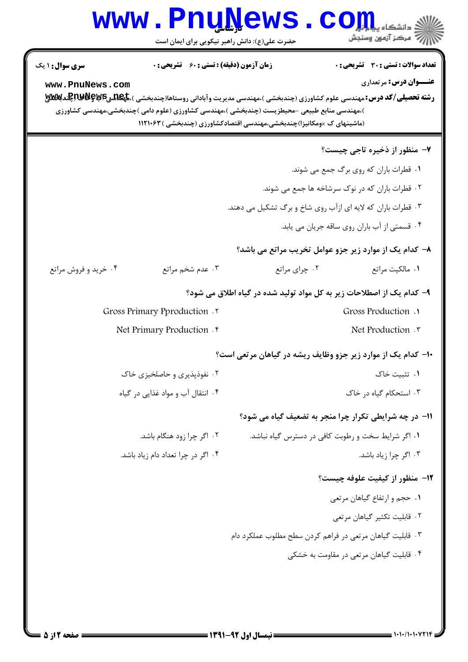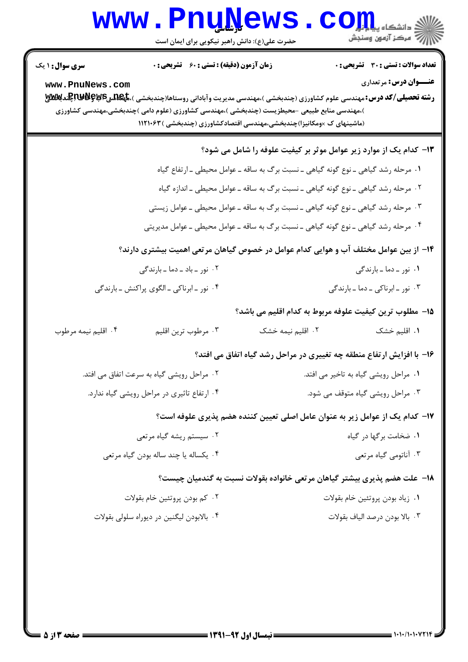## **www.PnuNews.com** .<br>\|*|||>* مرکز آزمون وسنجش حضرت علی(ع): دانش راهبر نیکویی برای ایمان است **تعداد سوالات : تستی : 30 ٪ تشریحی : 0 سری سوال : ۱ یک زمان آزمون (دقیقه) : تستی : 60 ٪ تشریحی : 0 عنــوان درس:** مرتعداري www.PnuNews.com رشته تحصیلی/کد درس: مهندسی علوم کشاورزی (چندبخشی )،مهندسی مدیریت وآبادانی روستاها(چندبخشی )،گهلگیکلیکپکلایاپکلایا )،مهندسی منابع طبیعی -محیطزیست (چندبخشی )،مهندسی کشاورزی (علوم دامی )چندبخشی،مهندسی کشاورزی (ماشینهای ک ×ومکانیزا)چندبخشی،مهندسی اقتصادکشاورزی (چندبخشی )۱۱۲۱۰۶۳ ۱۳- کدام یک از موارد زیر عوامل موثر بر کیفیت علوفه را شامل می شود؟ ١. مرحله رشد گیاهی ـ نوع گونه گیاهی ـ نسبت برگ به ساقه ـ عوامل محیطی ـ ارتفاع گیاه ٢٠ مرحله رشد گياهي ـ نوع گونه گياهي ـ نسبت برگ به ساقه ـ عوامل محيطي ـ اندازه گياه ۰۳ مرحله رشد گیاهی ـ نوع گونه گیاهی ـ نسبت برگ به ساقه ـ عوامل محیطی ـ عوامل زیستی ۰۴ مرحله رشد گیاهی ـ نوع گونه گیاهی ـ نسبت برگ به ساقه ـ عوامل محیطی ـ عوامل مدیریتی ۱۴– از بین عوامل مختلف آب و هوایی کدام عوامل در خصوص گیاهان مرتعی اهمیت بیشتری دارند؟ ۰۲ نور - باد - دما - بارندگی ۰۱ نور ـ دما ـ بارندگی ۴. نور ۔ابرناکی ۔الگوی پراکنش ۔بارندگی ۰۳ نور - ایرناکی - دما - بارندگی 1۵– مطلوب ترين كيفيت علوفه مربوط به كدام اقليم مي باشد؟ ۰۲ اقلیم نیمه خشک ۰۴ اقليم نيمه مرطوب ۰۳ مرطوب ترین اقلیم ٠١. اقليم خشک ۱۶- با افزایش ارتفاع منطقه چه تغییری در مراحل رشد گیاه اتفاق می افتد؟ ۰۲ مراحل رویشی گیاه به سرعت اتفاق می افتد. ۰۱ مراحل رویشی گیاه به تاخیر می افتد. ۰۴ ارتفاع تاثیری در مراحل رویشی گیاه ندارد. ۰۳ مراحل رویشی گیاه متوقف می شود. ۱۷– کدام یک از عوامل زیر به عنوان عامل اصلی تعیین کننده هضم پذیری علوفه است؟ ۰۲ سیستم ریشه گیاه مرتعی ٠١ ضخامت بركها در كياه ۰۴ يکساله يا چند ساله بودن گياه مرتعي ۰۳ آناتومی گیاه مرتعی ۱۸− علت هضم پذیری بیشتر گیاهان مرتعی خانواده بقولات نسبت به گندمیان چیست؟ ۰۲ کم بودن پروتئین خام بقولات ۰۱ زياد بودن پروتئين خام بقولات ۰۴ بالابودن ليگنين در ديوراه سلولي بقولات ۰۳ بالا بودن درصد الياف بقولات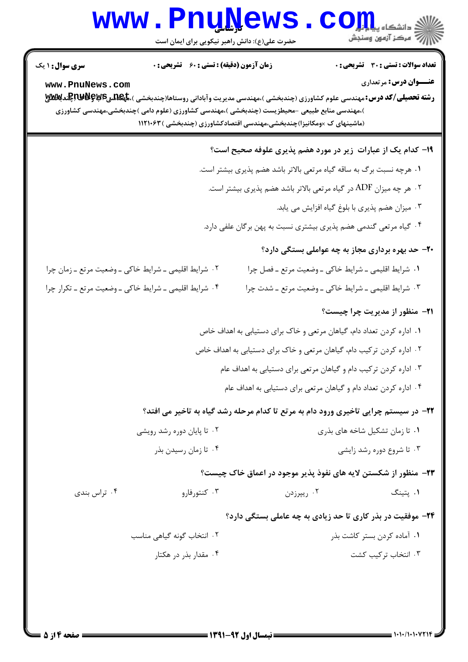